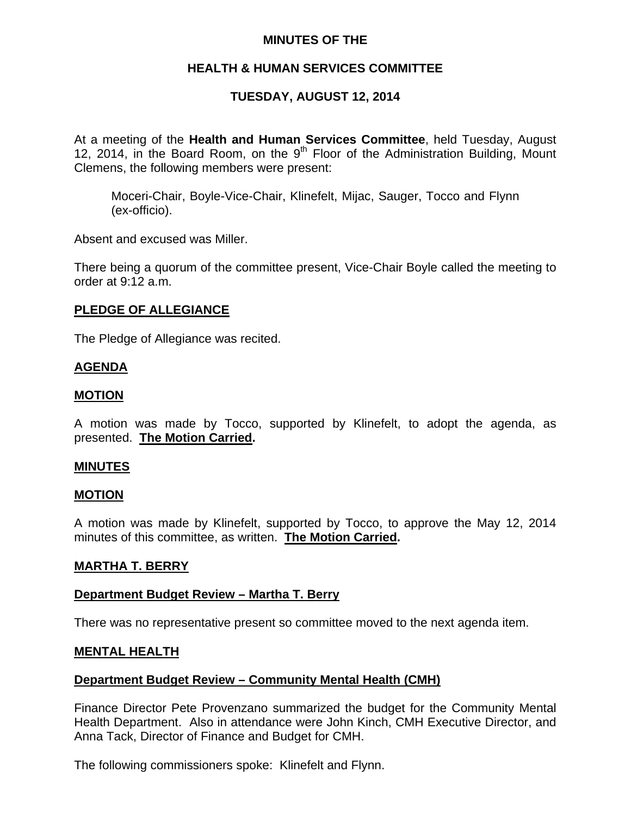# **MINUTES OF THE**

# **HEALTH & HUMAN SERVICES COMMITTEE**

# **TUESDAY, AUGUST 12, 2014**

At a meeting of the **Health and Human Services Committee**, held Tuesday, August 12, 2014, in the Board Room, on the  $9<sup>th</sup>$  Floor of the Administration Building, Mount Clemens, the following members were present:

Moceri-Chair, Boyle-Vice-Chair, Klinefelt, Mijac, Sauger, Tocco and Flynn (ex-officio).

Absent and excused was Miller.

There being a quorum of the committee present, Vice-Chair Boyle called the meeting to order at 9:12 a.m.

## **PLEDGE OF ALLEGIANCE**

The Pledge of Allegiance was recited.

## **AGENDA**

## **MOTION**

A motion was made by Tocco, supported by Klinefelt, to adopt the agenda, as presented. **The Motion Carried.** 

## **MINUTES**

## **MOTION**

A motion was made by Klinefelt, supported by Tocco, to approve the May 12, 2014 minutes of this committee, as written. **The Motion Carried.** 

## **MARTHA T. BERRY**

## **Department Budget Review – Martha T. Berry**

There was no representative present so committee moved to the next agenda item.

## **MENTAL HEALTH**

## **Department Budget Review – Community Mental Health (CMH)**

Finance Director Pete Provenzano summarized the budget for the Community Mental Health Department. Also in attendance were John Kinch, CMH Executive Director, and Anna Tack, Director of Finance and Budget for CMH.

The following commissioners spoke: Klinefelt and Flynn.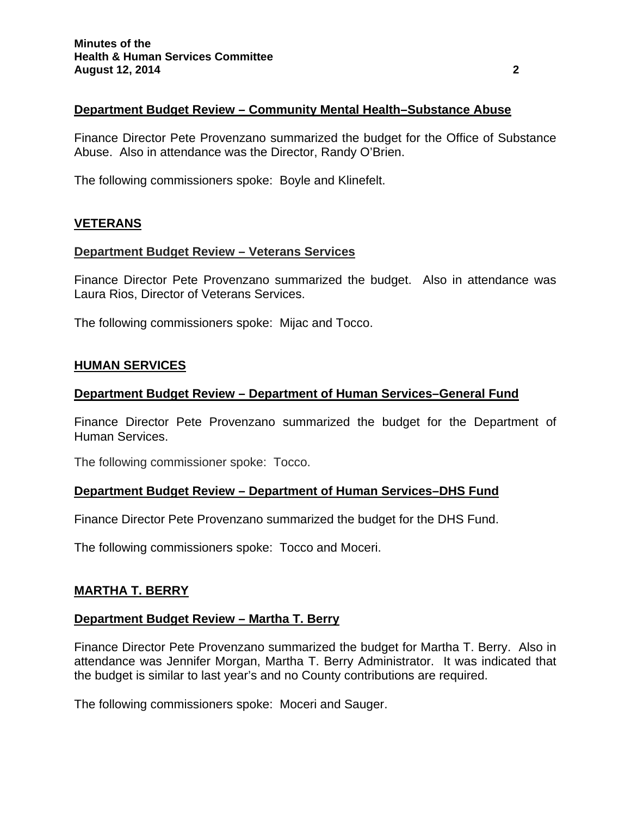## **Department Budget Review – Community Mental Health–Substance Abuse**

Finance Director Pete Provenzano summarized the budget for the Office of Substance Abuse. Also in attendance was the Director, Randy O'Brien.

The following commissioners spoke: Boyle and Klinefelt.

# **VETERANS**

## **Department Budget Review – Veterans Services**

Finance Director Pete Provenzano summarized the budget. Also in attendance was Laura Rios, Director of Veterans Services.

The following commissioners spoke: Mijac and Tocco.

#### **HUMAN SERVICES**

## **Department Budget Review – Department of Human Services–General Fund**

Finance Director Pete Provenzano summarized the budget for the Department of Human Services.

The following commissioner spoke: Tocco.

#### **Department Budget Review – Department of Human Services–DHS Fund**

Finance Director Pete Provenzano summarized the budget for the DHS Fund.

The following commissioners spoke: Tocco and Moceri.

## **MARTHA T. BERRY**

#### **Department Budget Review – Martha T. Berry**

Finance Director Pete Provenzano summarized the budget for Martha T. Berry. Also in attendance was Jennifer Morgan, Martha T. Berry Administrator. It was indicated that the budget is similar to last year's and no County contributions are required.

The following commissioners spoke: Moceri and Sauger.